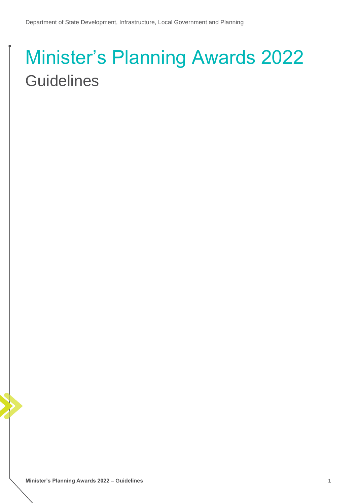# Minister's Planning Awards 2022 **Guidelines**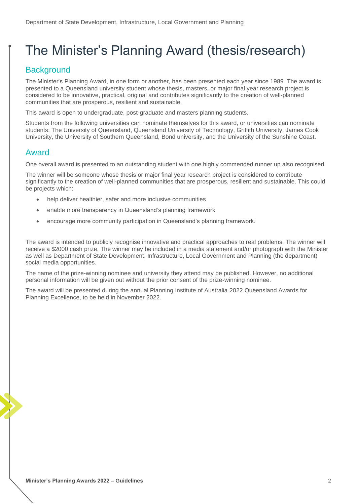# The Minister's Planning Award (thesis/research)

## **Background**

The Minister's Planning Award, in one form or another, has been presented each year since 1989. The award is presented to a Queensland university student whose thesis, masters, or major final year research project is considered to be innovative, practical, original and contributes significantly to the creation of well-planned communities that are prosperous, resilient and sustainable.

This award is open to undergraduate, post-graduate and masters planning students.

Students from the following universities can nominate themselves for this award, or universities can nominate students: The University of Queensland, Queensland University of Technology, Griffith University, James Cook University, the University of Southern Queensland, Bond university, and the University of the Sunshine Coast.

#### Award

One overall award is presented to an outstanding student with one highly commended runner up also recognised.

The winner will be someone whose thesis or major final year research project is considered to contribute significantly to the creation of well-planned communities that are prosperous, resilient and sustainable. This could be projects which:

- help deliver healthier, safer and more inclusive communities
- enable more transparency in Queensland's planning framework
- encourage more community participation in Queensland's planning framework.

The award is intended to publicly recognise innovative and practical approaches to real problems. The winner will receive a \$2000 cash prize. The winner may be included in a media statement and/or photograph with the Minister as well as Department of State Development, Infrastructure, Local Government and Planning (the department) social media opportunities.

The name of the prize-winning nominee and university they attend may be published. However, no additional personal information will be given out without the prior consent of the prize-winning nominee.

The award will be presented during the annual Planning Institute of Australia 2022 Queensland Awards for Planning Excellence, to be held in November 2022.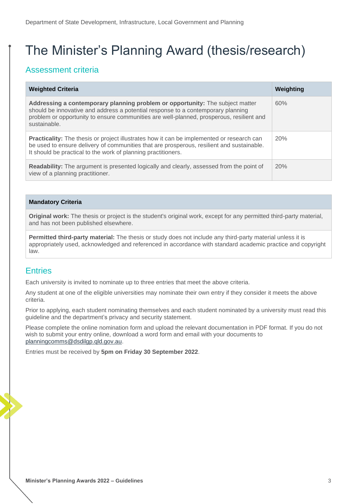# The Minister's Planning Award (thesis/research)

### Assessment criteria

| <b>Weighted Criteria</b>                                                                                                                                                                                                                                                      | Weighting |
|-------------------------------------------------------------------------------------------------------------------------------------------------------------------------------------------------------------------------------------------------------------------------------|-----------|
| Addressing a contemporary planning problem or opportunity: The subject matter<br>should be innovative and address a potential response to a contemporary planning<br>problem or opportunity to ensure communities are well-planned, prosperous, resilient and<br>sustainable. | 60%       |
| <b>Practicality:</b> The thesis or project illustrates how it can be implemented or research can<br>be used to ensure delivery of communities that are prosperous, resilient and sustainable.<br>It should be practical to the work of planning practitioners.                | 20%       |
| Readability: The argument is presented logically and clearly, assessed from the point of<br>view of a planning practitioner.                                                                                                                                                  | 20%       |

#### **Mandatory Criteria**

**Original work:** The thesis or project is the student's original work, except for any permitted third-party material, and has not been published elsewhere.

**Permitted third-party material:** The thesis or study does not include any third-party material unless it is appropriately used, acknowledged and referenced in accordance with standard academic practice and copyright law.

#### **Entries**

Each university is invited to nominate up to three entries that meet the above criteria.

Any student at one of the eligible universities may nominate their own entry if they consider it meets the above criteria.

Prior to applying, each student nominating themselves and each student nominated by a university must read this guideline and the department's privacy and security statement.

Please complete the online nomination form and upload the relevant documentation in PDF format. If you do not wish to submit your entry online, download a word form and email with your documents to [planningcomms@dsdilgp.qld.gov.au.](mailto:planningcomms@dsdilgp.qld.gov.au)

Entries must be received by **5pm on Friday 30 September 2022**.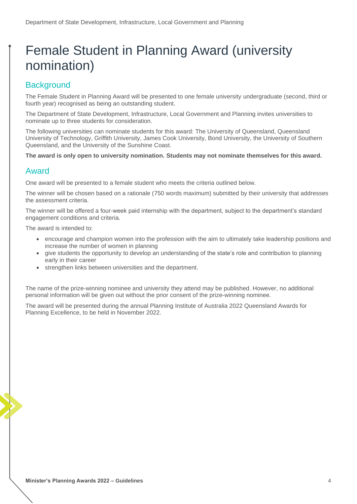# Female Student in Planning Award (university nomination)

### **Background**

The Female Student in Planning Award will be presented to one female university undergraduate (second, third or fourth year) recognised as being an outstanding student.

The Department of State Development, Infrastructure, Local Government and Planning invites universities to nominate up to three students for consideration.

The following universities can nominate students for this award: The University of Queensland, Queensland University of Technology, Griffith University, James Cook University, Bond University, the University of Southern Queensland, and the University of the Sunshine Coast.

**The award is only open to university nomination. Students may not nominate themselves for this award.**

#### Award

One award will be presented to a female student who meets the criteria outlined below.

The winner will be chosen based on a rationale (750 words maximum) submitted by their university that addresses the assessment criteria.

The winner will be offered a four-week paid internship with the department, subject to the department's standard engagement conditions and criteria.

The award is intended to:

- encourage and champion women into the profession with the aim to ultimately take leadership positions and increase the number of women in planning
- give students the opportunity to develop an understanding of the state's role and contribution to planning early in their career
- strengthen links between universities and the department.

The name of the prize-winning nominee and university they attend may be published. However, no additional personal information will be given out without the prior consent of the prize-winning nominee.

The award will be presented during the annual Planning Institute of Australia 2022 Queensland Awards for Planning Excellence, to be held in November 2022.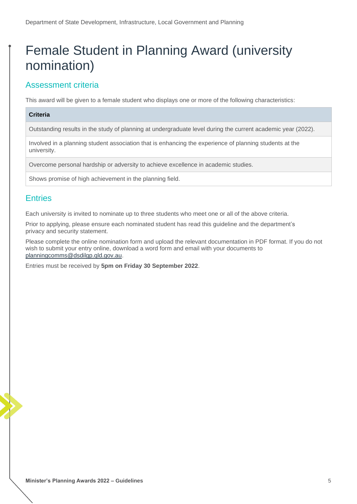# Female Student in Planning Award (university nomination)

### Assessment criteria

This award will be given to a female student who displays one or more of the following characteristics:

#### **Criteria**

Outstanding results in the study of planning at undergraduate level during the current academic year (2022).

Involved in a planning student association that is enhancing the experience of planning students at the university.

Overcome personal hardship or adversity to achieve excellence in academic studies.

Shows promise of high achievement in the planning field.

#### **Entries**

Each university is invited to nominate up to three students who meet one or all of the above criteria.

Prior to applying, please ensure each nominated student has read this guideline and the department's privacy and security statement.

Please complete the online nomination form and upload the relevant documentation in PDF format. If you do not wish to submit your entry online, download a word form and email with your documents to [planningcomms@dsdilgp.qld.gov.au.](mailto:planningcomms@dsdilgp.qld.gov.au)

Entries must be received by **5pm on Friday 30 September 2022**.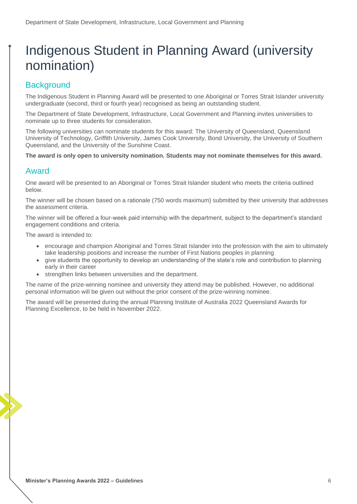# Indigenous Student in Planning Award (university nomination)

### **Background**

The Indigenous Student in Planning Award will be presented to one Aboriginal or Torres Strait Islander university undergraduate (second, third or fourth year) recognised as being an outstanding student.

The Department of State Development, Infrastructure, Local Government and Planning invites universities to nominate up to three students for consideration.

The following universities can nominate students for this award: The University of Queensland, Queensland University of Technology, Griffith University, James Cook University, Bond University, the University of Southern Queensland, and the University of the Sunshine Coast.

**The award is only open to university nomination. Students may not nominate themselves for this award.**

#### Award

One award will be presented to an Aboriginal or Torres Strait Islander student who meets the criteria outlined below.

The winner will be chosen based on a rationale (750 words maximum) submitted by their university that addresses the assessment criteria.

The winner will be offered a four-week paid internship with the department, subject to the department's standard engagement conditions and criteria.

The award is intended to:

- encourage and champion Aboriginal and Torres Strait Islander into the profession with the aim to ultimately take leadership positions and increase the number of First Nations peoples in planning
- give students the opportunity to develop an understanding of the state's role and contribution to planning early in their career
- strengthen links between universities and the department.

The name of the prize-winning nominee and university they attend may be published. However, no additional personal information will be given out without the prior consent of the prize-winning nominee.

The award will be presented during the annual Planning Institute of Australia 2022 Queensland Awards for Planning Excellence, to be held in November 2022.